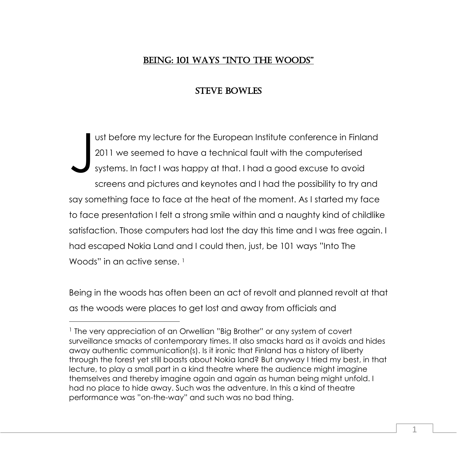# BEING: 101 WAYS "INTO THE WOODS"

# STEVE BOWLES

ust before my lecture for the European Institute conference in Finland 2011 we seemed to have a technical fault with the computerised systems. In fact I was happy at that. I had a good excuse to avoid screens and pictures and keynotes and I had the possibility to try and say something face to face at the heat of the moment. As I started my face to face presentation I felt a strong smile within and a naughty kind of childlike satisfaction. Those computers had lost the day this time and I was free again. I had escaped Nokia Land and I could then, just, be 101 ways "Into The Woods" in an active sense.<sup>1</sup> J

Being in the woods has often been an act of revolt and planned revolt at that as the woods were places to get lost and away from officials and

 $\overline{a}$ 

<sup>1</sup> The very appreciation of an Orwellian "Big Brother" or any system of covert surveillance smacks of contemporary times. It also smacks hard as it avoids and hides away authentic communication(s). Is it ironic that Finland has a history of liberty through the forest yet still boasts about Nokia land? But anyway I tried my best, in that lecture, to play a small part in a kind theatre where the audience might imagine themselves and thereby imagine again and again as human being might unfold. I had no place to hide away. Such was the adventure. In this a kind of theatre performance was "on-the-way" and such was no bad thing.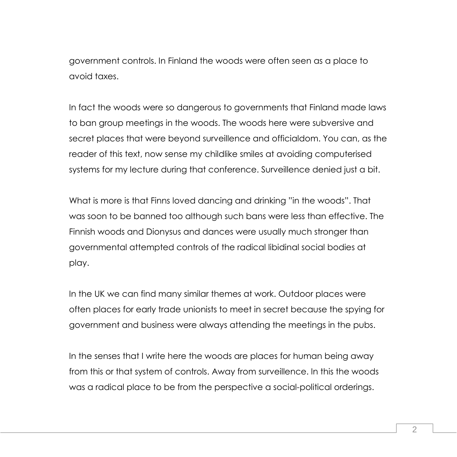government controls. In Finland the woods were often seen as a place to avoid taxes.

In fact the woods were so dangerous to governments that Finland made laws to ban group meetings in the woods. The woods here were subversive and secret places that were beyond surveillence and officialdom. You can, as the reader of this text, now sense my childlike smiles at avoiding computerised systems for my lecture during that conference. Surveillence denied just a bit.

What is more is that Finns loved dancing and drinking "in the woods". That was soon to be banned too although such bans were less than effective. The Finnish woods and Dionysus and dances were usually much stronger than governmental attempted controls of the radical libidinal social bodies at play.

In the UK we can find many similar themes at work. Outdoor places were often places for early trade unionists to meet in secret because the spying for government and business were always attending the meetings in the pubs.

In the senses that I write here the woods are places for human being away from this or that system of controls. Away from surveillence. In this the woods was a radical place to be from the perspective a social-political orderings.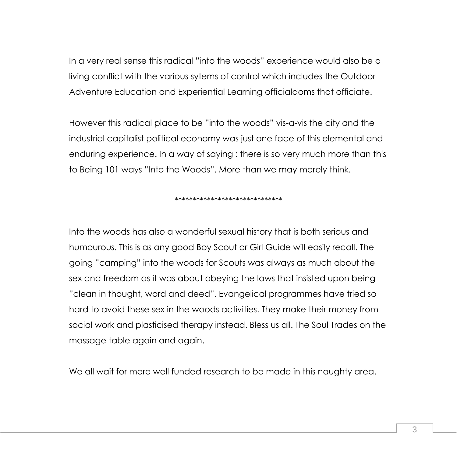In a very real sense this radical "into the woods" experience would also be a living conflict with the various sytems of control which includes the Outdoor Adventure Education and Experiential Learning officialdoms that officiate.

However this radical place to be "into the woods" vis-a-vis the city and the industrial capitalist political economy was just one face of this elemental and enduring experience. In a way of saying : there is so very much more than this to Being 101 ways "Into the Woods". More than we may merely think.

\*\*\*\*\*\*\*\*\*\*\*\*\*\*\*\*\*\*\*\*\*\*\*\*\*\*\*\*\*\*

Into the woods has also a wonderful sexual history that is both serious and humourous. This is as any good Boy Scout or Girl Guide will easily recall. The going "camping" into the woods for Scouts was always as much about the sex and freedom as it was about obeying the laws that insisted upon being "clean in thought, word and deed". Evangelical programmes have tried so hard to avoid these sex in the woods activities. They make their money from social work and plasticised therapy instead. Bless us all. The Soul Trades on the massage table again and again.

We all wait for more well funded research to be made in this naughty area.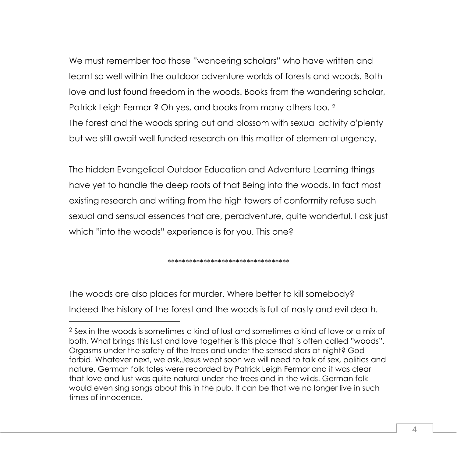We must remember too those "wandering scholars" who have written and learnt so well within the outdoor adventure worlds of forests and woods. Both love and lust found freedom in the woods. Books from the wandering scholar, Patrick Leigh Fermor ? Oh yes, and books from many others too. <sup>2</sup> The forest and the woods spring out and blossom with sexual activity a'plenty but we still await well funded research on this matter of elemental urgency.

The hidden Evangelical Outdoor Education and Adventure Learning things have yet to handle the deep roots of that Being into the woods. In fact most existing research and writing from the high towers of conformity refuse such sexual and sensual essences that are, peradventure, quite wonderful. I ask just which "into the woods" experience is for you. This one?

\*\*\*\*\*\*\*\*\*\*\*\*\*\*\*\*\*\*\*\*\*\*\*\*\*\*\*\*\*\*\*\*\*\*

The woods are also places for murder. Where better to kill somebody? Indeed the history of the forest and the woods is full of nasty and evil death.

 $\overline{a}$ 

<sup>2</sup> Sex in the woods is sometimes a kind of lust and sometimes a kind of love or a mix of both. What brings this lust and love together is this place that is often called "woods". Orgasms under the safety of the trees and under the sensed stars at night? God forbid. Whatever next, we ask.Jesus wept soon we will need to talk of sex, politics and nature. German folk tales were recorded by Patrick Leigh Fermor and it was clear that love and lust was quite natural under the trees and in the wilds. German folk would even sing songs about this in the pub. It can be that we no longer live in such times of innocence.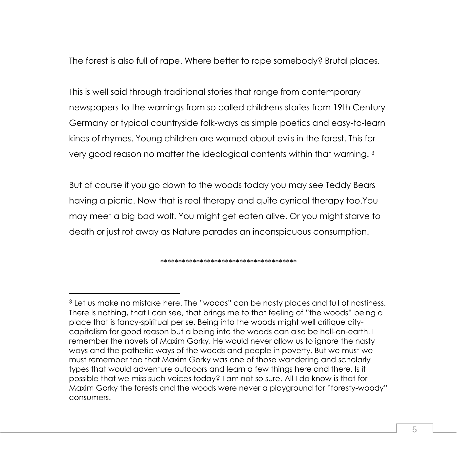The forest is also full of rape. Where better to rape somebody? Brutal places.

This is well said through traditional stories that range from contemporary newspapers to the warnings from so called childrens stories from 19th Century Germany or typical countryside folk-ways as simple poetics and easy-to-learn kinds of rhymes. Young children are warned about evils in the forest. This for very good reason no matter the ideological contents within that warning. <sup>3</sup>

But of course if you go down to the woods today you may see Teddy Bears having a picnic. Now that is real therapy and quite cynical therapy too.You may meet a big bad wolf. You might get eaten alive. Or you might starve to death or just rot away as Nature parades an inconspicuous consumption.

\*\*\*\*\*\*\*\*\*\*\*\*\*\*\*\*\*\*\*\*\*\*\*\*\*\*\*\*\*\*\*\*\*\*\*\*\*\*

<sup>3</sup> Let us make no mistake here. The "woods" can be nasty places and full of nastiness. There is nothing, that I can see, that brings me to that feeling of "the woods" being a place that is fancy-spiritual per se. Being into the woods might well critique citycapitalism for good reason but a being into the woods can also be hell-on-earth. I remember the novels of Maxim Gorky. He would never allow us to ignore the nasty ways and the pathetic ways of the woods and people in poverty. But we must we must remember too that Maxim Gorky was one of those wandering and scholarly types that would adventure outdoors and learn a few things here and there. Is it possible that we miss such voices today? I am not so sure. All I do know is that for Maxim Gorky the forests and the woods were never a playground for "foresty-woody" consumers.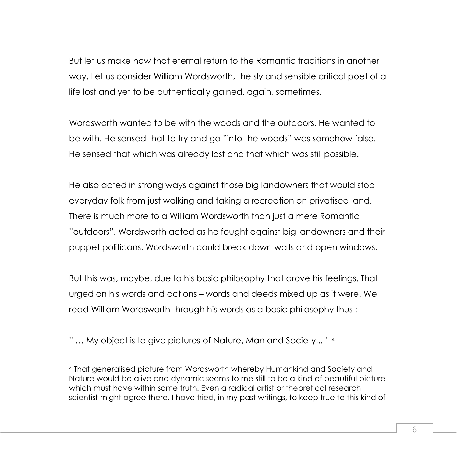But let us make now that eternal return to the Romantic traditions in another way. Let us consider William Wordsworth, the sly and sensible critical poet of a life lost and yet to be authentically gained, again, sometimes.

Wordsworth wanted to be with the woods and the outdoors. He wanted to be with. He sensed that to try and go "into the woods" was somehow false. He sensed that which was already lost and that which was still possible.

He also acted in strong ways against those big landowners that would stop everyday folk from just walking and taking a recreation on privatised land. There is much more to a William Wordsworth than just a mere Romantic "outdoors". Wordsworth acted as he fought against big landowners and their puppet politicans. Wordsworth could break down walls and open windows.

But this was, maybe, due to his basic philosophy that drove his feelings. That urged on his words and actions – words and deeds mixed up as it were. We read William Wordsworth through his words as a basic philosophy thus :-

" … My object is to give pictures of Nature, Man and Society...." <sup>4</sup>

 $\overline{a}$ 

<sup>4</sup> That generalised picture from Wordsworth whereby Humankind and Society and Nature would be alive and dynamic seems to me still to be a kind of beautiful picture which must have within some truth. Even a radical artist or theoretical research scientist might agree there. I have tried, in my past writings, to keep true to this kind of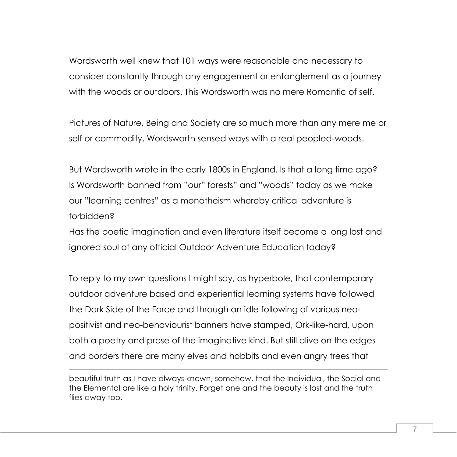Wordsworth well knew that 101 ways were reasonable and necessary to consider constantly through any engagement or entanglement as a journey with the woods or outdoors. This Wordsworth was no mere Romantic of self.

Pictures of Nature, Being and Society are so much more than any mere me or self or commodity. Wordsworth sensed ways with a real peopled-woods.

But Wordsworth wrote in the early 1800s in England. Is that a long time ago? Is Wordsworth banned from "our" forests" and "woods" today as we make our "learning centres" as a monotheism whereby critical adventure is forbidden?

Has the poetic imagination and even literature itself become a long lost and ignored soul of any official Outdoor Adventure Education today?

To reply to my own questions I might say, as hyperbole, that contemporary outdoor adventure based and experiential learning systems have followed the Dark Side of the Force and through an idle following of various neopositivist and neo-behaviourist banners have stamped, Ork-like-hard, upon both a poetry and prose of the imaginative kind. But still alive on the edges and borders there are many elves and hobbits and even angry trees that

beautiful truth as I have always known, somehow, that the Individual, the Social and the Elemental are like a holy trinity. Forget one and the beauty is lost and the truth flies away too.

1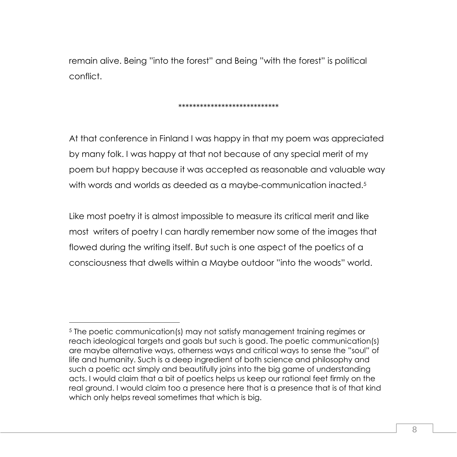remain alive. Being "into the forest" and Being "with the forest" is political conflict.

### \*\*\*\*\*\*\*\*\*\*\*\*\*\*\*\*\*\*\*\*\*\*\*\*\*\*\*\*

At that conference in Finland I was happy in that my poem was appreciated by many folk. I was happy at that not because of any special merit of my poem but happy because it was accepted as reasonable and valuable way with words and worlds as deeded as a maybe-communication inacted.<sup>5</sup>

Like most poetry it is almost impossible to measure its critical merit and like most writers of poetry I can hardly remember now some of the images that flowed during the writing itself. But such is one aspect of the poetics of a consciousness that dwells within a Maybe outdoor "into the woods" world.

 $\overline{a}$ 

<sup>5</sup> The poetic communication(s) may not satisfy management training regimes or reach ideological targets and goals but such is good. The poetic communication(s) are maybe alternative ways, otherness ways and critical ways to sense the "soul" of life and humanity. Such is a deep ingredient of both science and philosophy and such a poetic act simply and beautifully joins into the big game of understanding acts. I would claim that a bit of poetics helps us keep our rational feet firmly on the real ground. I would claim too a presence here that is a presence that is of that kind which only helps reveal sometimes that which is big.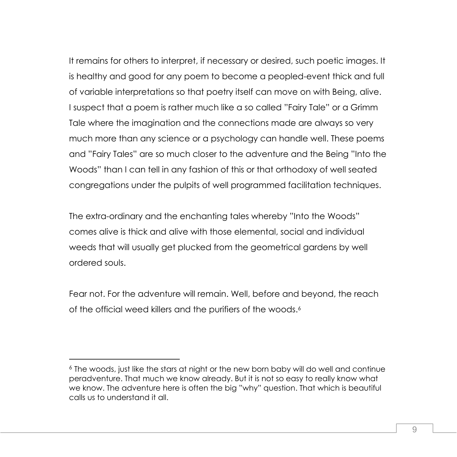It remains for others to interpret, if necessary or desired, such poetic images. It is healthy and good for any poem to become a peopled-event thick and full of variable interpretations so that poetry itself can move on with Being, alive. I suspect that a poem is rather much like a so called "Fairy Tale" or a Grimm Tale where the imagination and the connections made are always so very much more than any science or a psychology can handle well. These poems and "Fairy Tales" are so much closer to the adventure and the Being "Into the Woods" than I can tell in any fashion of this or that orthodoxy of well seated congregations under the pulpits of well programmed facilitation techniques.

The extra-ordinary and the enchanting tales whereby "Into the Woods" comes alive is thick and alive with those elemental, social and individual weeds that will usually get plucked from the geometrical gardens by well ordered souls.

Fear not. For the adventure will remain. Well, before and beyond, the reach of the official weed killers and the purifiers of the woods.<sup>6</sup>

<sup>6</sup> The woods, just like the stars at night or the new born baby will do well and continue peradventure. That much we know already. But it is not so easy to really know what we know. The adventure here is often the big "why" question. That which is beautiful calls us to understand it all.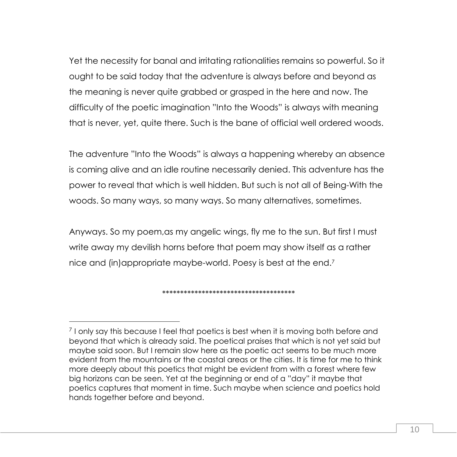Yet the necessity for banal and irritating rationalities remains so powerful. So it ought to be said today that the adventure is always before and beyond as the meaning is never quite grabbed or grasped in the here and now. The difficulty of the poetic imagination "Into the Woods" is always with meaning that is never, yet, quite there. Such is the bane of official well ordered woods.

The adventure "Into the Woods" is always a happening whereby an absence is coming alive and an idle routine necessarily denied. This adventure has the power to reveal that which is well hidden. But such is not all of Being-With the woods. So many ways, so many ways. So many alternatives, sometimes.

Anyways. So my poem,as my angelic wings, fly me to the sun. But first I must write away my devilish horns before that poem may show itself as a rather nice and (in)appropriate maybe-world. Poesy is best at the end.<sup>7</sup>

\*\*\*\*\*\*\*\*\*\*\*\*\*\*\*\*\*\*\*\*\*\*\*\*\*\*\*\*\*\*\*\*\*\*\*\*\*

 $\overline{a}$ 

<sup>&</sup>lt;sup>7</sup> I only say this because I feel that poetics is best when it is moving both before and beyond that which is already said. The poetical praises that which is not yet said but maybe said soon. But I remain slow here as the poetic act seems to be much more evident from the mountains or the coastal areas or the cities. It is time for me to think more deeply about this poetics that might be evident from with a forest where few big horizons can be seen. Yet at the beginning or end of a "day" it maybe that poetics captures that moment in time. Such maybe when science and poetics hold hands together before and beyond.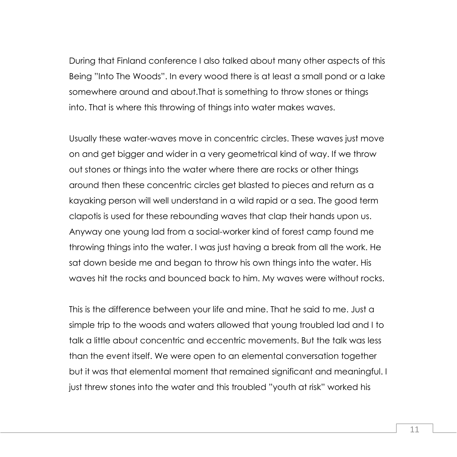During that Finland conference I also talked about many other aspects of this Being "Into The Woods". In every wood there is at least a small pond or a lake somewhere around and about.That is something to throw stones or things into. That is where this throwing of things into water makes waves.

Usually these water-waves move in concentric circles. These waves just move on and get bigger and wider in a very geometrical kind of way. If we throw out stones or things into the water where there are rocks or other things around then these concentric circles get blasted to pieces and return as a kayaking person will well understand in a wild rapid or a sea. The good term clapotis is used for these rebounding waves that clap their hands upon us. Anyway one young lad from a social-worker kind of forest camp found me throwing things into the water. I was just having a break from all the work. He sat down beside me and began to throw his own things into the water. His waves hit the rocks and bounced back to him. My waves were without rocks.

This is the difference between your life and mine. That he said to me. Just a simple trip to the woods and waters allowed that young troubled lad and I to talk a little about concentric and eccentric movements. But the talk was less than the event itself. We were open to an elemental conversation together but it was that elemental moment that remained significant and meaningful. I just threw stones into the water and this troubled "youth at risk" worked his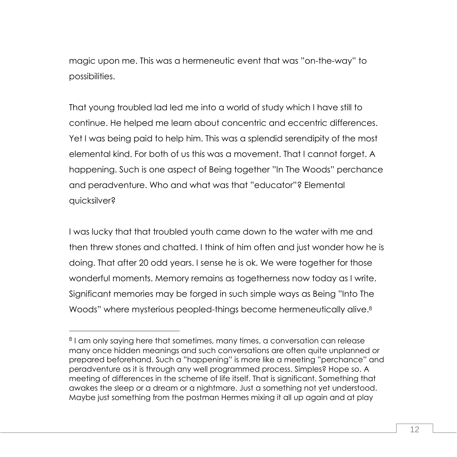magic upon me. This was a hermeneutic event that was "on-the-way" to possibilities.

That young troubled lad led me into a world of study which I have still to continue. He helped me learn about concentric and eccentric differences. Yet I was being paid to help him. This was a splendid serendipity of the most elemental kind. For both of us this was a movement. That I cannot forget. A happening. Such is one aspect of Being together "In The Woods" perchance and peradventure. Who and what was that "educator"? Elemental quicksilver?

I was lucky that that troubled youth came down to the water with me and then threw stones and chatted. I think of him often and just wonder how he is doing. That after 20 odd years. I sense he is ok. We were together for those wonderful moments. Memory remains as togetherness now today as I write. Significant memories may be forged in such simple ways as Being "Into The Woods" where mysterious peopled-things become hermeneutically alive.<sup>8</sup>

<sup>8</sup> I am only saying here that sometimes, many times, a conversation can release many once hidden meanings and such conversations are often quite unplanned or prepared beforehand. Such a "happening" is more like a meeting "perchance" and peradventure as it is through any well programmed process. Simples? Hope so. A meeting of differences in the scheme of life itself. That is significant. Something that awakes the sleep or a dream or a nightmare. Just a something not yet understood. Maybe just something from the postman Hermes mixing it all up again and at play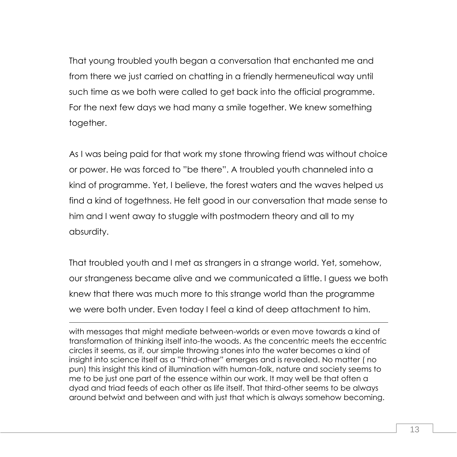That young troubled youth began a conversation that enchanted me and from there we just carried on chatting in a friendly hermeneutical way until such time as we both were called to get back into the official programme. For the next few days we had many a smile together. We knew something together.

As I was being paid for that work my stone throwing friend was without choice or power. He was forced to "be there". A troubled youth channeled into a kind of programme. Yet, I believe, the forest waters and the waves helped us find a kind of togethness. He felt good in our conversation that made sense to him and I went away to stuggle with postmodern theory and all to my absurdity.

That troubled youth and I met as strangers in a strange world. Yet, somehow, our strangeness became alive and we communicated a little. I guess we both knew that there was much more to this strange world than the programme we were both under. Even today I feel a kind of deep attachment to him.

-

with messages that might mediate between-worlds or even move towards a kind of transformation of thinking itself into-the woods. As the concentric meets the eccentric circles it seems, as if, our simple throwing stones into the water becomes a kind of insight into science itself as a "third-other" emerges and is revealed. No matter ( no pun) this insight this kind of illumination with human-folk, nature and society seems to me to be just one part of the essence within our work. It may well be that often a dyad and triad feeds of each other as life itself. That third-other seems to be always around betwixt and between and with just that which is always somehow becoming.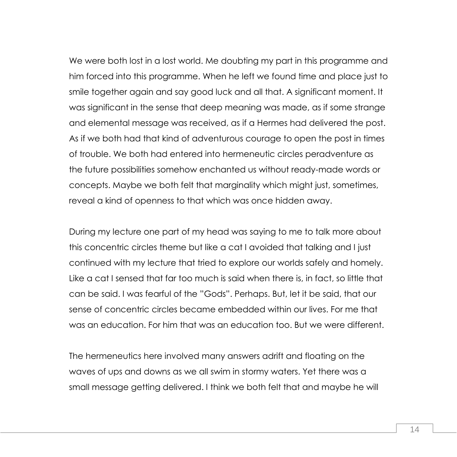We were both lost in a lost world. Me doubting my part in this programme and him forced into this programme. When he left we found time and place just to smile together again and say good luck and all that. A significant moment. It was significant in the sense that deep meaning was made, as if some strange and elemental message was received, as if a Hermes had delivered the post. As if we both had that kind of adventurous courage to open the post in times of trouble. We both had entered into hermeneutic circles peradventure as the future possibilities somehow enchanted us without ready-made words or concepts. Maybe we both felt that marginality which might just, sometimes, reveal a kind of openness to that which was once hidden away.

During my lecture one part of my head was saying to me to talk more about this concentric circles theme but like a cat I avoided that talking and I just continued with my lecture that tried to explore our worlds safely and homely. Like a cat I sensed that far too much is said when there is, in fact, so little that can be said. I was fearful of the "Gods". Perhaps. But, let it be said, that our sense of concentric circles became embedded within our lives. For me that was an education. For him that was an education too. But we were different.

The hermeneutics here involved many answers adrift and floating on the waves of ups and downs as we all swim in stormy waters. Yet there was a small message getting delivered. I think we both felt that and maybe he will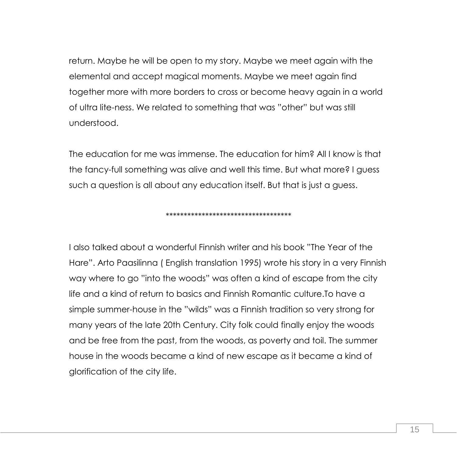return. Maybe he will be open to my story. Maybe we meet again with the elemental and accept magical moments. Maybe we meet again find together more with more borders to cross or become heavy again in a world of ultra lite-ness. We related to something that was "other" but was still understood.

The education for me was immense. The education for him? All I know is that the fancy-full something was alive and well this time. But what more? I guess such a question is all about any education itself. But that is just a guess.

\*\*\*\*\*\*\*\*\*\*\*\*\*\*\*\*\*\*\*\*\*\*\*\*\*\*\*\*\*\*\*\*\*\*\*

I also talked about a wonderful Finnish writer and his book "The Year of the Hare". Arto Paasilinna ( English translation 1995) wrote his story in a very Finnish way where to go "into the woods" was often a kind of escape from the city life and a kind of return to basics and Finnish Romantic culture.To have a simple summer-house in the "wilds" was a Finnish tradition so very strong for many years of the late 20th Century. City folk could finally enjoy the woods and be free from the past, from the woods, as poverty and toil. The summer house in the woods became a kind of new escape as it became a kind of glorification of the city life.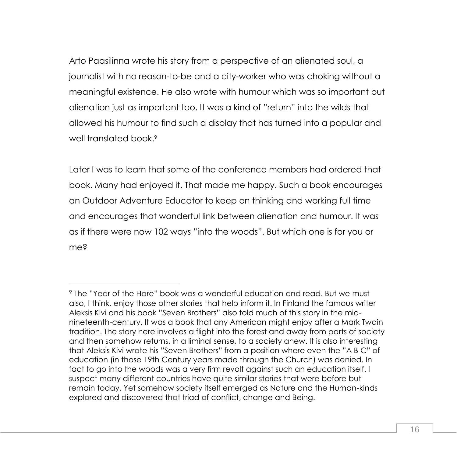Arto Paasilinna wrote his story from a perspective of an alienated soul, a journalist with no reason-to-be and a city-worker who was choking without a meaningful existence. He also wrote with humour which was so important but alienation just as important too. It was a kind of "return" into the wilds that allowed his humour to find such a display that has turned into a popular and well translated book.<sup>9</sup>

Later I was to learn that some of the conference members had ordered that book. Many had enjoyed it. That made me happy. Such a book encourages an Outdoor Adventure Educator to keep on thinking and working full time and encourages that wonderful link between alienation and humour. It was as if there were now 102 ways "into the woods". But which one is for you or me?

 $\overline{a}$ 

<sup>9</sup> The "Year of the Hare" book was a wonderful education and read. But we must also, I think, enjoy those other stories that help inform it. In Finland the famous writer Aleksis Kivi and his book "Seven Brothers" also told much of this story in the midnineteenth-century. It was a book that any American might enjoy after a Mark Twain tradition. The story here involves a flight into the forest and away from parts of society and then somehow returns, in a liminal sense, to a society anew. It is also interesting that Aleksis Kivi wrote his "Seven Brothers" from a position where even the "A B C" of education (in those 19th Century years made through the Church) was denied. In fact to go into the woods was a very firm revolt against such an education itself. I suspect many different countries have quite similar stories that were before but remain today. Yet somehow society itself emerged as Nature and the Human-kinds explored and discovered that triad of conflict, change and Being.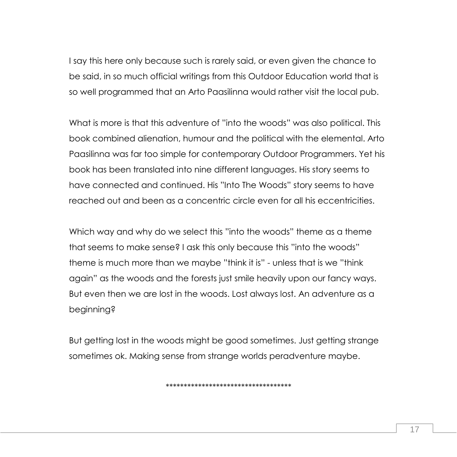I say this here only because such is rarely said, or even given the chance to be said, in so much official writings from this Outdoor Education world that is so well programmed that an Arto Paasilinna would rather visit the local pub.

What is more is that this adventure of "into the woods" was also political. This book combined alienation, humour and the political with the elemental. Arto Paasilinna was far too simple for contemporary Outdoor Programmers. Yet his book has been translated into nine different languages. His story seems to have connected and continued. His "Into The Woods" story seems to have reached out and been as a concentric circle even for all his eccentricities.

Which way and why do we select this "into the woods" theme as a theme that seems to make sense? I ask this only because this "into the woods" theme is much more than we maybe "think it is" - unless that is we "think again" as the woods and the forests just smile heavily upon our fancy ways. But even then we are lost in the woods. Lost always lost. An adventure as a beginning?

But getting lost in the woods might be good sometimes. Just getting strange sometimes ok. Making sense from strange worlds peradventure maybe.

\*\*\*\*\*\*\*\*\*\*\*\*\*\*\*\*\*\*\*\*\*\*\*\*\*\*\*\*\*\*\*\*\*\*\*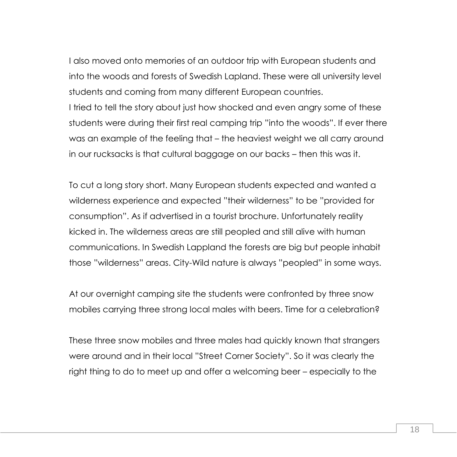I also moved onto memories of an outdoor trip with European students and into the woods and forests of Swedish Lapland. These were all university level students and coming from many different European countries. I tried to tell the story about just how shocked and even angry some of these students were during their first real camping trip "into the woods". If ever there was an example of the feeling that – the heaviest weight we all carry around in our rucksacks is that cultural baggage on our backs – then this was it.

To cut a long story short. Many European students expected and wanted a wilderness experience and expected "their wilderness" to be "provided for consumption". As if advertised in a tourist brochure. Unfortunately reality kicked in. The wilderness areas are still peopled and still alive with human communications. In Swedish Lappland the forests are big but people inhabit those "wilderness" areas. City-Wild nature is always "peopled" in some ways.

At our overnight camping site the students were confronted by three snow mobiles carrying three strong local males with beers. Time for a celebration?

These three snow mobiles and three males had quickly known that strangers were around and in their local "Street Corner Society". So it was clearly the right thing to do to meet up and offer a welcoming beer – especially to the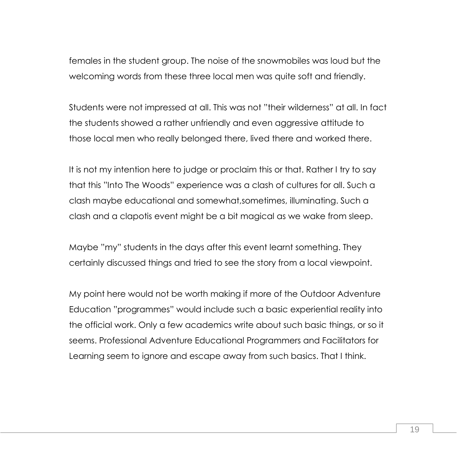females in the student group. The noise of the snowmobiles was loud but the welcoming words from these three local men was quite soft and friendly.

Students were not impressed at all. This was not "their wilderness" at all. In fact the students showed a rather unfriendly and even aggressive attitude to those local men who really belonged there, lived there and worked there.

It is not my intention here to judge or proclaim this or that. Rather I try to say that this "Into The Woods" experience was a clash of cultures for all. Such a clash maybe educational and somewhat,sometimes, illuminating. Such a clash and a clapotis event might be a bit magical as we wake from sleep.

Maybe "my" students in the days after this event learnt something. They certainly discussed things and tried to see the story from a local viewpoint.

My point here would not be worth making if more of the Outdoor Adventure Education "programmes" would include such a basic experiential reality into the official work. Only a few academics write about such basic things, or so it seems. Professional Adventure Educational Programmers and Facilitators for Learning seem to ignore and escape away from such basics. That I think.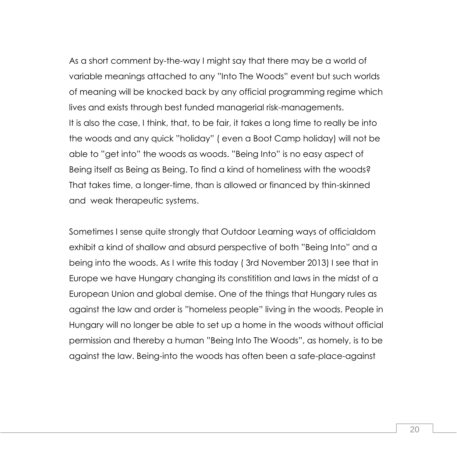As a short comment by-the-way I might say that there may be a world of variable meanings attached to any "Into The Woods" event but such worlds of meaning will be knocked back by any official programming regime which lives and exists through best funded managerial risk-managements. It is also the case, I think, that, to be fair, it takes a long time to really be into the woods and any quick "holiday" ( even a Boot Camp holiday) will not be able to "get into" the woods as woods. "Being Into" is no easy aspect of Being itself as Being as Being. To find a kind of homeliness with the woods? That takes time, a longer-time, than is allowed or financed by thin-skinned and weak therapeutic systems.

Sometimes I sense quite strongly that Outdoor Learning ways of officialdom exhibit a kind of shallow and absurd perspective of both "Being Into" and a being into the woods. As I write this today ( 3rd November 2013) I see that in Europe we have Hungary changing its constitition and laws in the midst of a European Union and global demise. One of the things that Hungary rules as against the law and order is "homeless people" living in the woods. People in Hungary will no longer be able to set up a home in the woods without official permission and thereby a human "Being Into The Woods", as homely, is to be against the law. Being-into the woods has often been a safe-place-against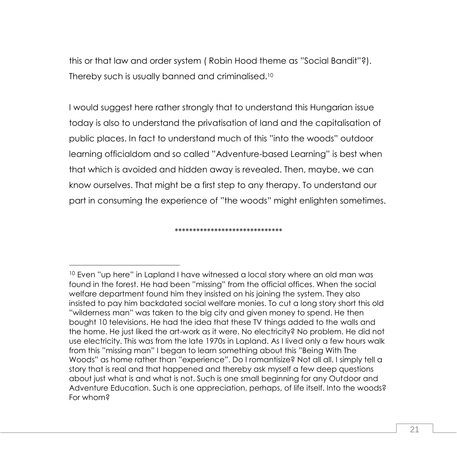this or that law and order system ( Robin Hood theme as "Social Bandit"?). Thereby such is usually banned and criminalised.<sup>10</sup>

I would suggest here rather strongly that to understand this Hungarian issue today is also to understand the privatisation of land and the capitalisation of public places. In fact to understand much of this "into the woods" outdoor learning officialdom and so called "Adventure-based Learning" is best when that which is avoided and hidden away is revealed. Then, maybe, we can know ourselves. That might be a first step to any therapy. To understand our part in consuming the experience of "the woods" might enlighten sometimes.

\*\*\*\*\*\*\*\*\*\*\*\*\*\*\*\*\*\*\*\*\*\*\*\*\*\*\*\*\*\*

 $\overline{a}$ 

<sup>&</sup>lt;sup>10</sup> Even "up here" in Lapland I have witnessed a local story where an old man was found in the forest. He had been "missing" from the official offices. When the social welfare department found him they insisted on his joining the system. They also insisted to pay him backdated social welfare monies. To cut a long story short this old "wilderness man" was taken to the big city and given money to spend. He then bought 10 televisions. He had the idea that these TV things added to the walls and the home. He just liked the art-work as it were. No electricity? No problem. He did not use electricity. This was from the late 1970s in Lapland. As I lived only a few hours walk from this "missing man" I began to learn something about this "Being With The Woods" as home rather than "experience". Do I romantisize? Not all all. I simply tell a story that is real and that happened and thereby ask myself a few deep questions about just what is and what is not. Such is one small beginning for any Outdoor and Adventure Education. Such is one appreciation, perhaps, of life itself. Into the woods? For whom?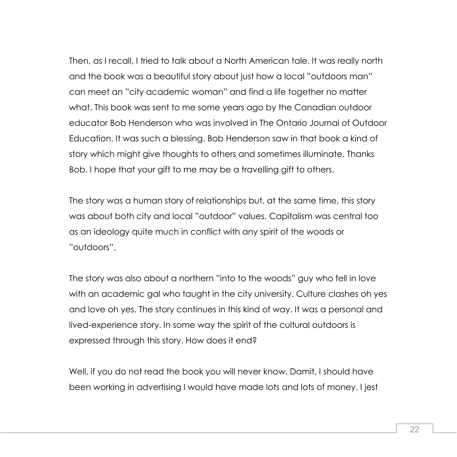Then, as I recall, I tried to talk about a North American tale. It was really north and the book was a beautiful story about just how a local "outdoors man" can meet an "city academic woman" and find a life together no matter what. This book was sent to me some years ago by the Canadian outdoor educator Bob Henderson who was involved in The Ontario Journal of Outdoor Education. It was such a blessing. Bob Henderson saw in that book a kind of story which might give thoughts to others and sometimes illuminate. Thanks Bob. I hope that your gift to me may be a travelling gift to others.

The story was a human story of relationships but, at the same time, this story was about both city and local "outdoor" values. Capitalism was central too as an ideology quite much in conflict with any spirit of the woods or "outdoors".

The story was also about a northern "into to the woods" guy who fell in love with an academic gal who taught in the city university. Culture clashes oh yes and love oh yes. The story continues in this kind of way. It was a personal and lived-experience story. In some way the spirit of the cultural outdoors is expressed through this story. How does it end?

Well, if you do not read the book you will never know. Damit, I should have been working in advertising I would have made lots and lots of money. I jest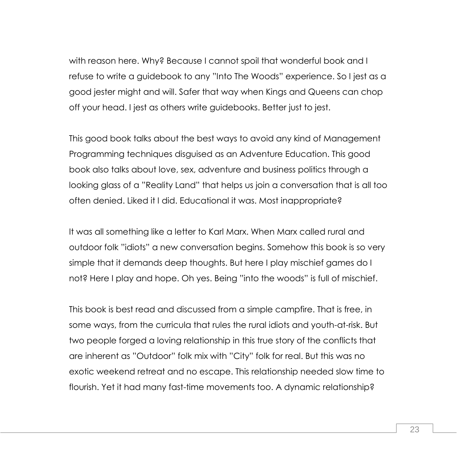with reason here. Why? Because I cannot spoil that wonderful book and I refuse to write a guidebook to any "Into The Woods" experience. So I jest as a good jester might and will. Safer that way when Kings and Queens can chop off your head. I jest as others write guidebooks. Better just to jest.

This good book talks about the best ways to avoid any kind of Management Programming techniques disguised as an Adventure Education. This good book also talks about love, sex, adventure and business politics through a looking glass of a "Reality Land" that helps us join a conversation that is all too often denied. Liked it I did. Educational it was. Most inappropriate?

It was all something like a letter to Karl Marx. When Marx called rural and outdoor folk "idiots" a new conversation begins. Somehow this book is so very simple that it demands deep thoughts. But here I play mischief games do I not? Here I play and hope. Oh yes. Being "into the woods" is full of mischief.

This book is best read and discussed from a simple campfire. That is free, in some ways, from the curricula that rules the rural idiots and youth-at-risk. But two people forged a loving relationship in this true story of the conflicts that are inherent as "Outdoor" folk mix with "City" folk for real. But this was no exotic weekend retreat and no escape. This relationship needed slow time to flourish. Yet it had many fast-time movements too. A dynamic relationship?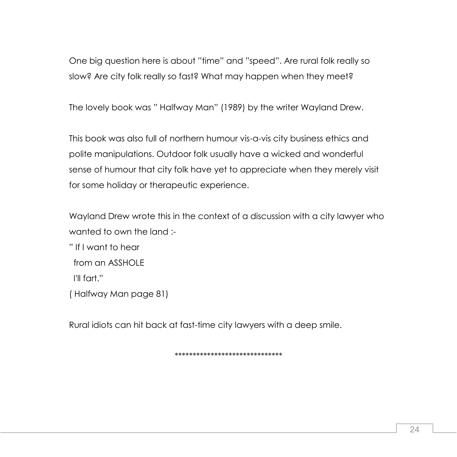One big question here is about "time" and "speed". Are rural folk really so slow? Are city folk really so fast? What may happen when they meet?

The lovely book was " Halfway Man" (1989) by the writer Wayland Drew.

This book was also full of northern humour vis-a-vis city business ethics and polite manipulations. Outdoor folk usually have a wicked and wonderful sense of humour that city folk have yet to appreciate when they merely visit for some holiday or therapeutic experience.

Wayland Drew wrote this in the context of a discussion with a city lawyer who wanted to own the land :-

" If I want to hear from an ASSHOLE I'll fart." ( Halfway Man page 81)

Rural idiots can hit back at fast-time city lawyers with a deep smile.

\*\*\*\*\*\*\*\*\*\*\*\*\*\*\*\*\*\*\*\*\*\*\*\*\*\*\*\*\*\*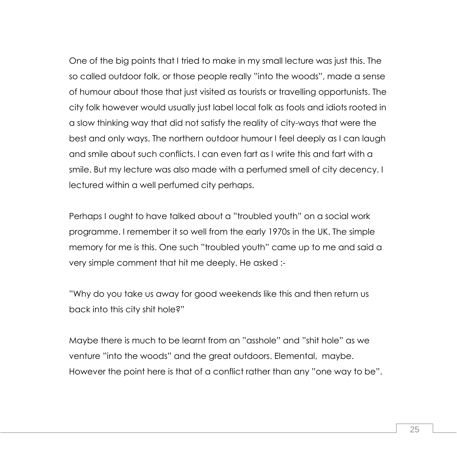One of the big points that I tried to make in my small lecture was just this. The so called outdoor folk, or those people really "into the woods", made a sense of humour about those that just visited as tourists or travelling opportunists. The city folk however would usually just label local folk as fools and idiots rooted in a slow thinking way that did not satisfy the reality of city-ways that were the best and only ways. The northern outdoor humour I feel deeply as I can laugh and smile about such conflicts. I can even fart as I write this and fart with a smile. But my lecture was also made with a perfumed smell of city decency. I lectured within a well perfumed city perhaps.

Perhaps I ought to have talked about a "troubled youth" on a social work programme. I remember it so well from the early 1970s in the UK. The simple memory for me is this. One such "troubled youth" came up to me and said a very simple comment that hit me deeply. He asked :-

"Why do you take us away for good weekends like this and then return us back into this city shit hole?"

Maybe there is much to be learnt from an "asshole" and "shit hole" as we venture "into the woods" and the great outdoors. Elemental, maybe. However the point here is that of a conflict rather than any "one way to be".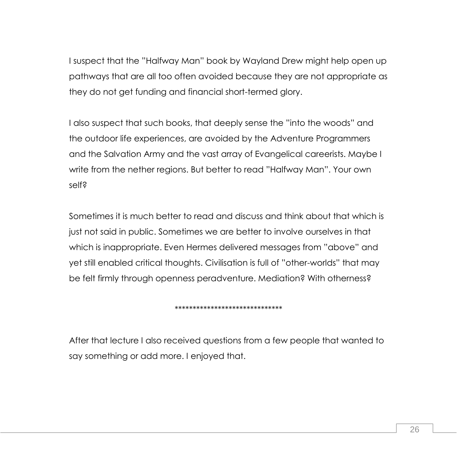I suspect that the "Halfway Man" book by Wayland Drew might help open up pathways that are all too often avoided because they are not appropriate as they do not get funding and financial short-termed glory.

I also suspect that such books, that deeply sense the "into the woods" and the outdoor life experiences, are avoided by the Adventure Programmers and the Salvation Army and the vast array of Evangelical careerists. Maybe I write from the nether regions. But better to read "Halfway Man". Your own self?

Sometimes it is much better to read and discuss and think about that which is just not said in public. Sometimes we are better to involve ourselves in that which is inappropriate. Even Hermes delivered messages from "above" and yet still enabled critical thoughts. Civilisation is full of "other-worlds" that may be felt firmly through openness peradventure. Mediation? With otherness?

## \*\*\*\*\*\*\*\*\*\*\*\*\*\*\*\*\*\*\*\*\*\*\*\*\*\*\*\*\*\*

After that lecture I also received questions from a few people that wanted to say something or add more. I enjoyed that.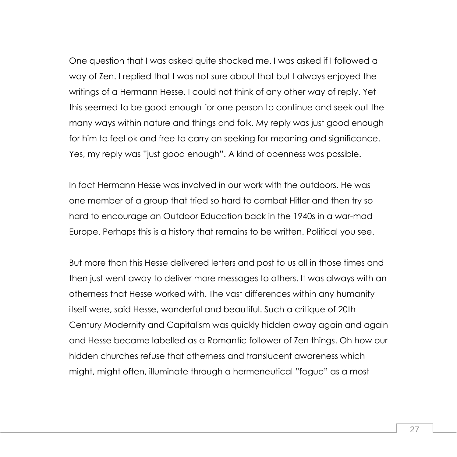One question that I was asked quite shocked me. I was asked if I followed a way of Zen. I replied that I was not sure about that but I always enjoyed the writings of a Hermann Hesse. I could not think of any other way of reply. Yet this seemed to be good enough for one person to continue and seek out the many ways within nature and things and folk. My reply was just good enough for him to feel ok and free to carry on seeking for meaning and significance. Yes, my reply was "just good enough". A kind of openness was possible.

In fact Hermann Hesse was involved in our work with the outdoors. He was one member of a group that tried so hard to combat Hitler and then try so hard to encourage an Outdoor Education back in the 1940s in a war-mad Europe. Perhaps this is a history that remains to be written. Political you see.

But more than this Hesse delivered letters and post to us all in those times and then just went away to deliver more messages to others. It was always with an otherness that Hesse worked with. The vast differences within any humanity itself were, said Hesse, wonderful and beautiful. Such a critique of 20th Century Modernity and Capitalism was quickly hidden away again and again and Hesse became labelled as a Romantic follower of Zen things. Oh how our hidden churches refuse that otherness and translucent awareness which might, might often, illuminate through a hermeneutical "fogue" as a most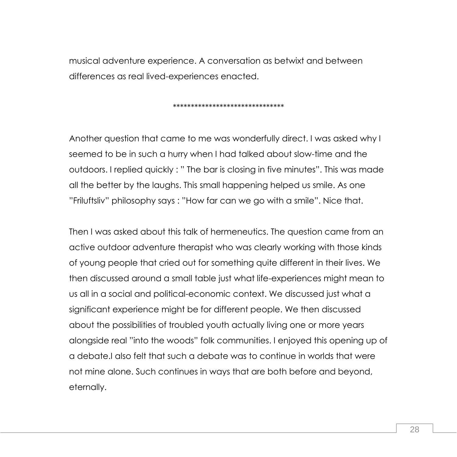musical adventure experience. A conversation as betwixt and between differences as real lived-experiences enacted.

#### \*\*\*\*\*\*\*\*\*\*\*\*\*\*\*\*\*\*\*\*\*\*\*\*\*\*\*\*\*\*\*

Another question that came to me was wonderfully direct. I was asked why I seemed to be in such a hurry when I had talked about slow-time and the outdoors. I replied quickly : " The bar is closing in five minutes". This was made all the better by the laughs. This small happening helped us smile. As one "Friluftsliv" philosophy says : "How far can we go with a smile". Nice that.

Then I was asked about this talk of hermeneutics. The question came from an active outdoor adventure therapist who was clearly working with those kinds of young people that cried out for something quite different in their lives. We then discussed around a small table just what life-experiences might mean to us all in a social and political-economic context. We discussed just what a significant experience might be for different people. We then discussed about the possibilities of troubled youth actually living one or more years alongside real "into the woods" folk communities. I enjoyed this opening up of a debate.I also felt that such a debate was to continue in worlds that were not mine alone. Such continues in ways that are both before and beyond, eternally.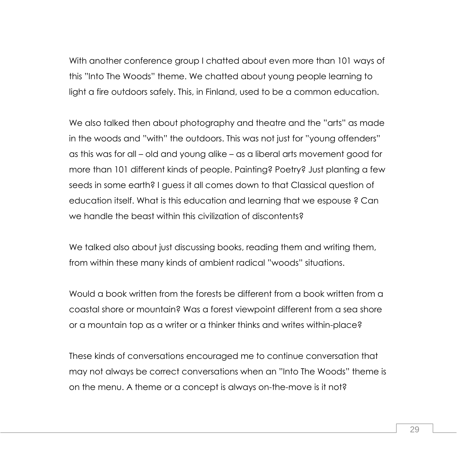With another conference group I chatted about even more than 101 ways of this "Into The Woods" theme. We chatted about young people learning to light a fire outdoors safely. This, in Finland, used to be a common education.

We also talked then about photography and theatre and the "arts" as made in the woods and "with" the outdoors. This was not just for "young offenders" as this was for all – old and young alike – as a liberal arts movement good for more than 101 different kinds of people. Painting? Poetry? Just planting a few seeds in some earth? I guess it all comes down to that Classical question of education itself. What is this education and learning that we espouse ? Can we handle the beast within this civilization of discontents?

We talked also about just discussing books, reading them and writing them, from within these many kinds of ambient radical "woods" situations.

Would a book written from the forests be different from a book written from a coastal shore or mountain? Was a forest viewpoint different from a sea shore or a mountain top as a writer or a thinker thinks and writes within-place?

These kinds of conversations encouraged me to continue conversation that may not always be correct conversations when an "Into The Woods" theme is on the menu. A theme or a concept is always on-the-move is it not?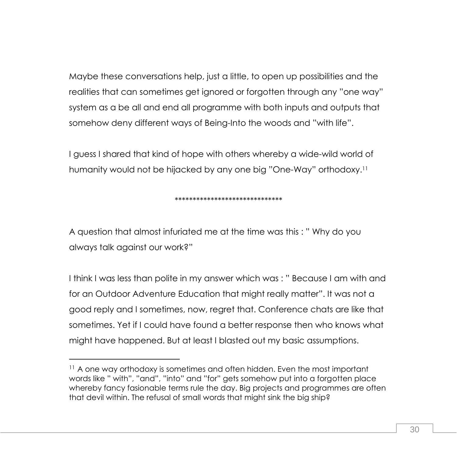Maybe these conversations help, just a little, to open up possibilities and the realities that can sometimes get ignored or forgotten through any "one way" system as a be all and end all programme with both inputs and outputs that somehow deny different ways of Being-Into the woods and "with life".

I guess I shared that kind of hope with others whereby a wide-wild world of humanity would not be hijacked by any one big "One-Way" orthodoxy.<sup>11</sup>

## \*\*\*\*\*\*\*\*\*\*\*\*\*\*\*\*\*\*\*\*\*\*\*\*\*\*\*\*\*\*

A question that almost infuriated me at the time was this : " Why do you always talk against our work?"

I think I was less than polite in my answer which was : " Because I am with and for an Outdoor Adventure Education that might really matter". It was not a good reply and I sometimes, now, regret that. Conference chats are like that sometimes. Yet if I could have found a better response then who knows what might have happened. But at least I blasted out my basic assumptions.

<sup>&</sup>lt;sup>11</sup> A one way orthodoxy is sometimes and often hidden. Even the most important words like " with", "and", "into" and "for" gets somehow put into a forgotten place whereby fancy fasionable terms rule the day. Big projects and programmes are often that devil within. The refusal of small words that might sink the big ship?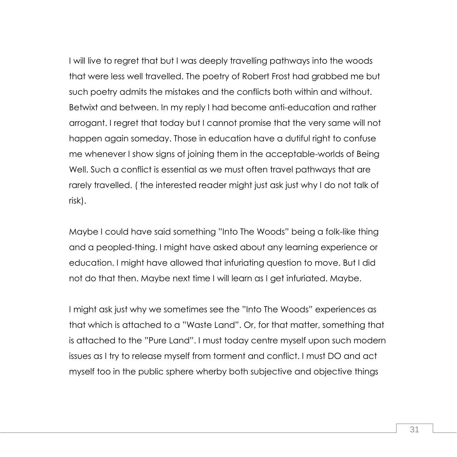I will live to regret that but I was deeply travelling pathways into the woods that were less well travelled. The poetry of Robert Frost had grabbed me but such poetry admits the mistakes and the conflicts both within and without. Betwixt and between. In my reply I had become anti-education and rather arrogant. I regret that today but I cannot promise that the very same will not happen again someday. Those in education have a dutiful right to confuse me whenever I show signs of joining them in the acceptable-worlds of Being Well. Such a conflict is essential as we must often travel pathways that are rarely travelled. ( the interested reader might just ask just why I do not talk of risk).

Maybe I could have said something "Into The Woods" being a folk-like thing and a peopled-thing. I might have asked about any learning experience or education. I might have allowed that infuriating question to move. But I did not do that then. Maybe next time I will learn as I get infuriated. Maybe.

I might ask just why we sometimes see the "Into The Woods" experiences as that which is attached to a "Waste Land". Or, for that matter, something that is attached to the "Pure Land". I must today centre myself upon such modern issues as I try to release myself from torment and conflict. I must DO and act myself too in the public sphere wherby both subjective and objective things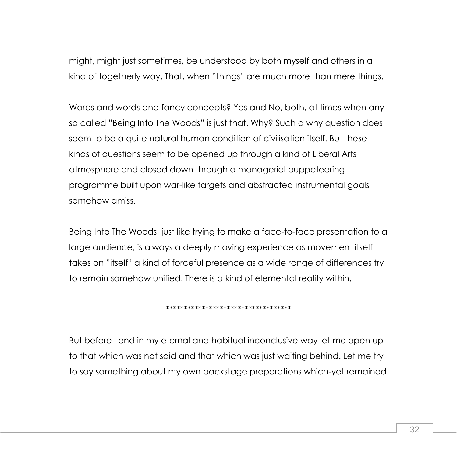might, might just sometimes, be understood by both myself and others in a kind of togetherly way. That, when "things" are much more than mere things.

Words and words and fancy concepts? Yes and No, both, at times when any so called "Being Into The Woods" is just that. Why? Such a why question does seem to be a quite natural human condition of civilisation itself. But these kinds of questions seem to be opened up through a kind of Liberal Arts atmosphere and closed down through a managerial puppeteering programme built upon war-like targets and abstracted instrumental goals somehow amiss.

Being Into The Woods, just like trying to make a face-to-face presentation to a large audience, is always a deeply moving experience as movement itself takes on "itself" a kind of forceful presence as a wide range of differences try to remain somehow unified. There is a kind of elemental reality within.

### \*\*\*\*\*\*\*\*\*\*\*\*\*\*\*\*\*\*\*\*\*\*\*\*\*\*\*\*\*\*\*\*\*\*\*

But before I end in my eternal and habitual inconclusive way let me open up to that which was not said and that which was just waiting behind. Let me try to say something about my own backstage preperations which-yet remained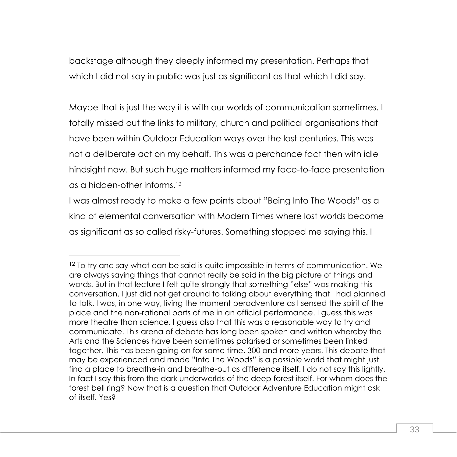backstage although they deeply informed my presentation. Perhaps that which I did not say in public was just as significant as that which I did say.

Maybe that is just the way it is with our worlds of communication sometimes. I totally missed out the links to military, church and political organisations that have been within Outdoor Education ways over the last centuries. This was not a deliberate act on my behalf. This was a perchance fact then with idle hindsight now. But such huge matters informed my face-to-face presentation as a hidden-other informs.<sup>12</sup>

I was almost ready to make a few points about "Being Into The Woods" as a kind of elemental conversation with Modern Times where lost worlds become as significant as so called risky-futures. Something stopped me saying this. I

 $\overline{a}$ 

<sup>&</sup>lt;sup>12</sup> To try and say what can be said is quite impossible in terms of communication. We are always saying things that cannot really be said in the big picture of things and words. But in that lecture I felt quite strongly that something "else" was making this conversation. I just did not get around to talking about everything that I had planned to talk. I was, in one way, living the moment peradventure as I sensed the spirit of the place and the non-rational parts of me in an official performance. I guess this was more theatre than science. I guess also that this was a reasonable way to try and communicate. This arena of debate has long been spoken and written whereby the Arts and the Sciences have been sometimes polarised or sometimes been linked together. This has been going on for some time, 300 and more years. This debate that may be experienced and made "Into The Woods" is a possible world that might just find a place to breathe-in and breathe-out as difference itself. I do not say this lightly. In fact I say this from the dark underworlds of the deep forest itself. For whom does the forest bell ring? Now that is a question that Outdoor Adventure Education might ask of itself. Yes?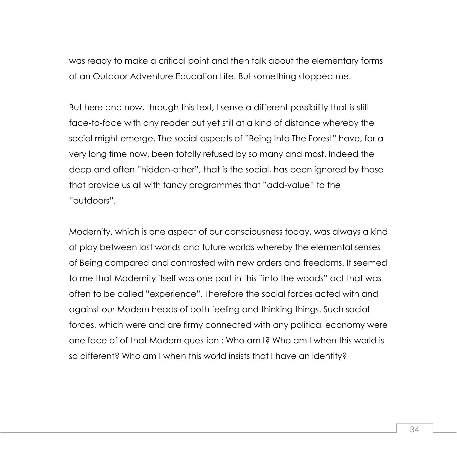was ready to make a critical point and then talk about the elementary forms of an Outdoor Adventure Education Life. But something stopped me.

But here and now, through this text, I sense a different possibility that is still face-to-face with any reader but yet still at a kind of distance whereby the social might emerge. The social aspects of "Being Into The Forest" have, for a very long time now, been totally refused by so many and most. Indeed the deep and often "hidden-other", that is the social, has been ignored by those that provide us all with fancy programmes that "add-value" to the "outdoors".

Modernity, which is one aspect of our consciousness today, was always a kind of play between lost worlds and future worlds whereby the elemental senses of Being compared and contrasted with new orders and freedoms. It seemed to me that Modernity itself was one part in this "into the woods" act that was often to be called "experience". Therefore the social forces acted with and against our Modern heads of both feeling and thinking things. Such social forces, which were and are firmy connected with any political economy were one face of of that Modern question : Who am I? Who am I when this world is so different? Who am I when this world insists that I have an identity?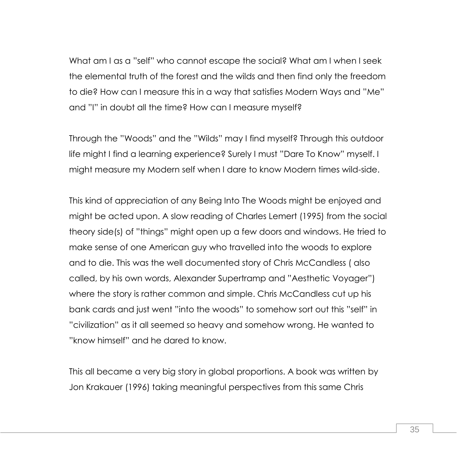What am I as a "self" who cannot escape the social? What am I when I seek the elemental truth of the forest and the wilds and then find only the freedom to die? How can I measure this in a way that satisfies Modern Ways and "Me" and "I" in doubt all the time? How can I measure myself?

Through the "Woods" and the "Wilds" may I find myself? Through this outdoor life might I find a learning experience? Surely I must "Dare To Know" myself. I might measure my Modern self when I dare to know Modern times wild-side.

This kind of appreciation of any Being Into The Woods might be enjoyed and might be acted upon. A slow reading of Charles Lemert (1995) from the social theory side(s) of "things" might open up a few doors and windows. He tried to make sense of one American guy who travelled into the woods to explore and to die. This was the well documented story of Chris McCandless ( also called, by his own words, Alexander Supertramp and "Aesthetic Voyager") where the story is rather common and simple. Chris McCandless cut up his bank cards and just went "into the woods" to somehow sort out this "self" in "civilization" as it all seemed so heavy and somehow wrong. He wanted to "know himself" and he dared to know.

This all became a very big story in global proportions. A book was written by Jon Krakauer (1996) taking meaningful perspectives from this same Chris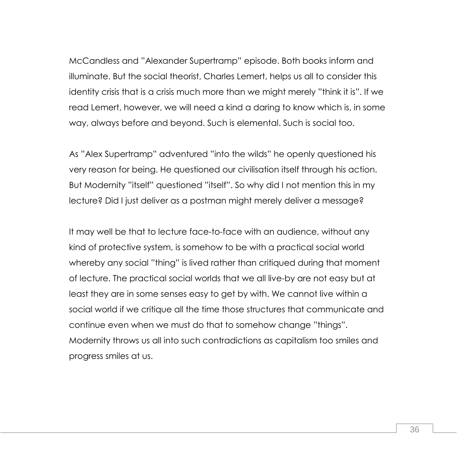McCandless and "Alexander Supertramp" episode. Both books inform and illuminate. But the social theorist, Charles Lemert, helps us all to consider this identity crisis that is a crisis much more than we might merely "think it is". If we read Lemert, however, we will need a kind a daring to know which is, in some way, always before and beyond. Such is elemental. Such is social too.

As "Alex Supertramp" adventured "into the wilds" he openly questioned his very reason for being. He questioned our civilisation itself through his action. But Modernity "itself" questioned "itself". So why did I not mention this in my lecture? Did I just deliver as a postman might merely deliver a message?

It may well be that to lecture face-to-face with an audience, without any kind of protective system, is somehow to be with a practical social world whereby any social "thing" is lived rather than critiqued during that moment of lecture. The practical social worlds that we all live-by are not easy but at least they are in some senses easy to get by with. We cannot live within a social world if we critique all the time those structures that communicate and continue even when we must do that to somehow change "things". Modernity throws us all into such contradictions as capitalism too smiles and progress smiles at us.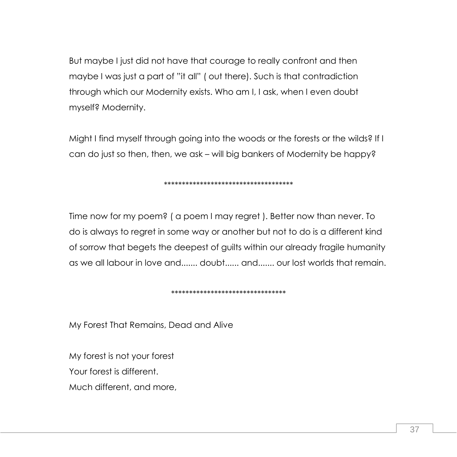But maybe I just did not have that courage to really confront and then maybe I was just a part of "it all" ( out there). Such is that contradiction through which our Modernity exists. Who am I, I ask, when I even doubt myself? Modernity.

Might I find myself through going into the woods or the forests or the wilds? If I can do just so then, then, we ask – will big bankers of Modernity be happy?

## \*\*\*\*\*\*\*\*\*\*\*\*\*\*\*\*\*\*\*\*\*\*\*\*\*\*\*\*\*\*\*\*\*\*\*\*

Time now for my poem? ( a poem I may regret ). Better now than never. To do is always to regret in some way or another but not to do is a different kind of sorrow that begets the deepest of guilts within our already fragile humanity as we all labour in love and....... doubt...... and....... our lost worlds that remain.

## \*\*\*\*\*\*\*\*\*\*\*\*\*\*\*\*\*\*\*\*\*\*\*\*\*\*\*\*\*\*\*\*

My Forest That Remains, Dead and Alive

My forest is not your forest

Your forest is different.

Much different, and more,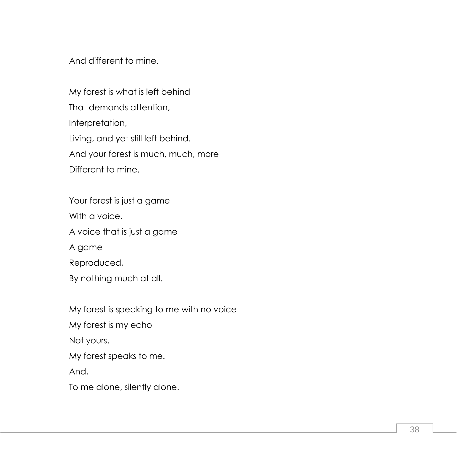And different to mine.

My forest is what is left behind That demands attention, Interpretation, Living, and yet still left behind. And your forest is much, much, more Different to mine.

Your forest is just a game With a voice. A voice that is just a game A game Reproduced, By nothing much at all.

My forest is speaking to me with no voice My forest is my echo Not yours. My forest speaks to me. And, To me alone, silently alone.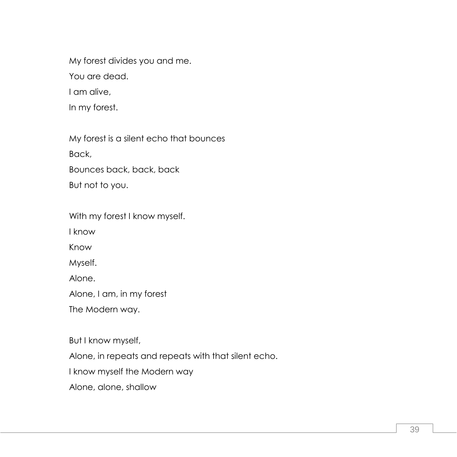My forest divides you and me. You are dead.

I am alive,

In my forest.

My forest is a silent echo that bounces Back, Bounces back, back, back

But not to you.

With my forest I know myself.

I know

Know

Myself.

Alone.

Alone, I am, in my forest

The Modern way.

But I know myself,

Alone, in repeats and repeats with that silent echo.

I know myself the Modern way

Alone, alone, shallow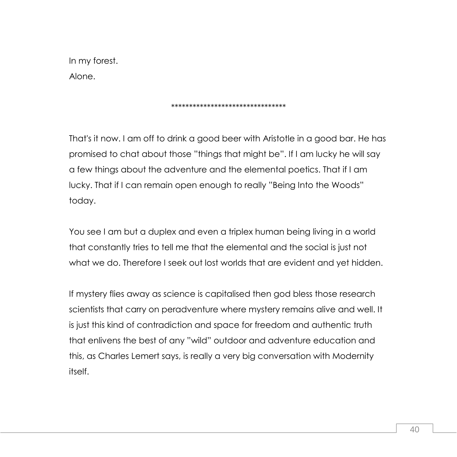In my forest. Alone.

#### \*\*\*\*\*\*\*\*\*\*\*\*\*\*\*\*\*\*\*\*\*\*\*\*\*\*\*\*\*\*\*\*

That's it now. I am off to drink a good beer with Aristotle in a good bar. He has promised to chat about those "things that might be". If I am lucky he will say a few things about the adventure and the elemental poetics. That if I am lucky. That if I can remain open enough to really "Being Into the Woods" today.

You see I am but a duplex and even a triplex human being living in a world that constantly tries to tell me that the elemental and the social is just not what we do. Therefore I seek out lost worlds that are evident and yet hidden.

If mystery flies away as science is capitalised then god bless those research scientists that carry on peradventure where mystery remains alive and well. It is just this kind of contradiction and space for freedom and authentic truth that enlivens the best of any "wild" outdoor and adventure education and this, as Charles Lemert says, is really a very big conversation with Modernity itself.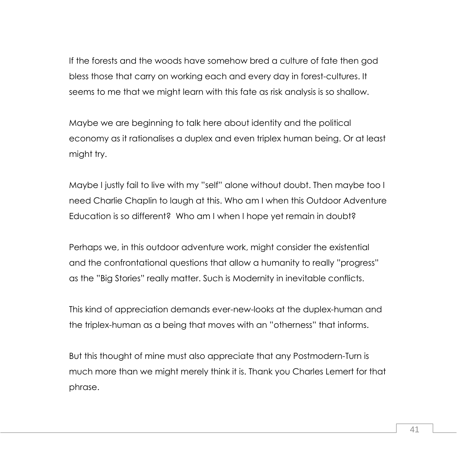If the forests and the woods have somehow bred a culture of fate then god bless those that carry on working each and every day in forest-cultures. It seems to me that we might learn with this fate as risk analysis is so shallow.

Maybe we are beginning to talk here about identity and the political economy as it rationalises a duplex and even triplex human being. Or at least might try.

Maybe I justly fail to live with my "self" alone without doubt. Then maybe too I need Charlie Chaplin to laugh at this. Who am I when this Outdoor Adventure Education is so different? Who am I when I hope yet remain in doubt?

Perhaps we, in this outdoor adventure work, might consider the existential and the confrontational questions that allow a humanity to really "progress" as the "Big Stories" really matter. Such is Modernity in inevitable conflicts.

This kind of appreciation demands ever-new-looks at the duplex-human and the triplex-human as a being that moves with an "otherness" that informs.

But this thought of mine must also appreciate that any Postmodern-Turn is much more than we might merely think it is. Thank you Charles Lemert for that phrase.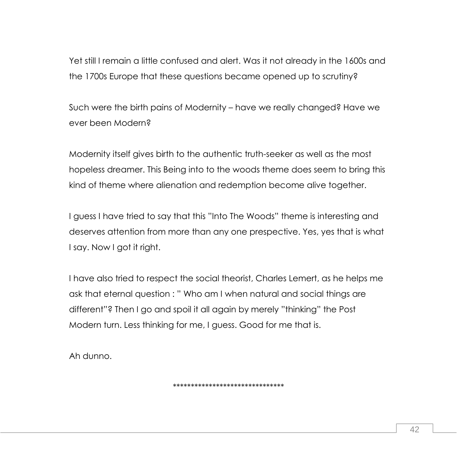Yet still I remain a little confused and alert. Was it not already in the 1600s and the 1700s Europe that these questions became opened up to scrutiny?

Such were the birth pains of Modernity – have we really changed? Have we ever been Modern?

Modernity itself gives birth to the authentic truth-seeker as well as the most hopeless dreamer. This Being into to the woods theme does seem to bring this kind of theme where alienation and redemption become alive together.

I guess I have tried to say that this "Into The Woods" theme is interesting and deserves attention from more than any one prespective. Yes, yes that is what I say. Now I got it right.

I have also tried to respect the social theorist, Charles Lemert, as he helps me ask that eternal question : " Who am I when natural and social things are different"? Then I go and spoil it all again by merely "thinking" the Post Modern turn. Less thinking for me, I guess. Good for me that is.

Ah dunno.

\*\*\*\*\*\*\*\*\*\*\*\*\*\*\*\*\*\*\*\*\*\*\*\*\*\*\*\*\*\*\*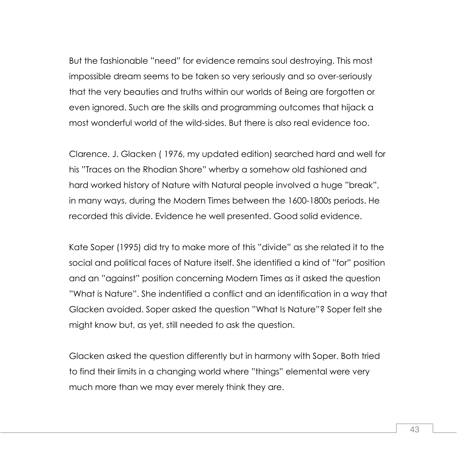But the fashionable "need" for evidence remains soul destroying. This most impossible dream seems to be taken so very seriously and so over-seriously that the very beauties and truths within our worlds of Being are forgotten or even ignored. Such are the skills and programming outcomes that hijack a most wonderful world of the wild-sides. But there is also real evidence too.

Clarence. J. Glacken ( 1976, my updated edition) searched hard and well for his "Traces on the Rhodian Shore" wherby a somehow old fashioned and hard worked history of Nature with Natural people involved a huge "break", in many ways, during the Modern Times between the 1600-1800s periods. He recorded this divide. Evidence he well presented. Good solid evidence.

Kate Soper (1995) did try to make more of this "divide" as she related it to the social and political faces of Nature itself. She identified a kind of "for" position and an "against" position concerning Modern Times as it asked the question "What is Nature". She indentified a conflict and an identification in a way that Glacken avoided. Soper asked the question "What Is Nature"? Soper felt she might know but, as yet, still needed to ask the question.

Glacken asked the question differently but in harmony with Soper. Both tried to find their limits in a changing world where "things" elemental were very much more than we may ever merely think they are.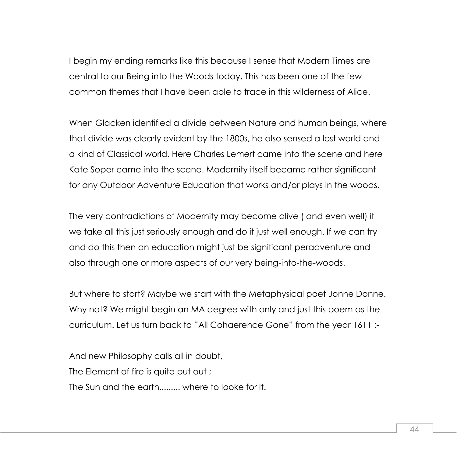I begin my ending remarks like this because I sense that Modern Times are central to our Being into the Woods today. This has been one of the few common themes that I have been able to trace in this wilderness of Alice.

When Glacken identified a divide between Nature and human beings, where that divide was clearly evident by the 1800s, he also sensed a lost world and a kind of Classical world. Here Charles Lemert came into the scene and here Kate Soper came into the scene. Modernity itself became rather significant for any Outdoor Adventure Education that works and/or plays in the woods.

The very contradictions of Modernity may become alive ( and even well) if we take all this just seriously enough and do it just well enough. If we can try and do this then an education might just be significant peradventure and also through one or more aspects of our very being-into-the-woods.

But where to start? Maybe we start with the Metaphysical poet Jonne Donne. Why not? We might begin an MA degree with only and just this poem as the curriculum. Let us turn back to "All Cohaerence Gone" from the year 1611 :-

And new Philosophy calls all in doubt, The Element of fire is quite put out ; The Sun and the earth......... where to looke for it.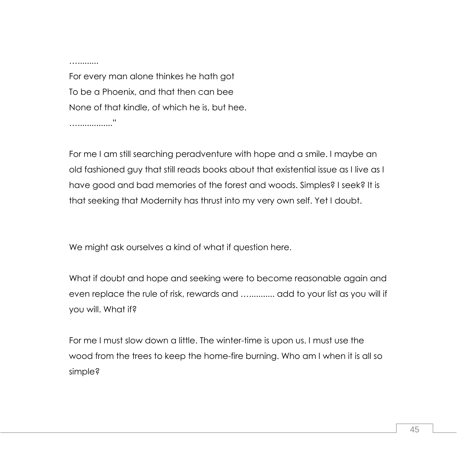….........

For every man alone thinkes he hath got To be a Phoenix, and that then can bee None of that kindle, of which he is, but hee. …..............."

For me I am still searching peradventure with hope and a smile. I maybe an old fashioned guy that still reads books about that existential issue as I live as I have good and bad memories of the forest and woods. Simples? I seek? It is that seeking that Modernity has thrust into my very own self. Yet I doubt.

We might ask ourselves a kind of what if question here.

What if doubt and hope and seeking were to become reasonable again and even replace the rule of risk, rewards and …........... add to your list as you will if you will. What if?

For me I must slow down a little. The winter-time is upon us. I must use the wood from the trees to keep the home-fire burning. Who am I when it is all so simple?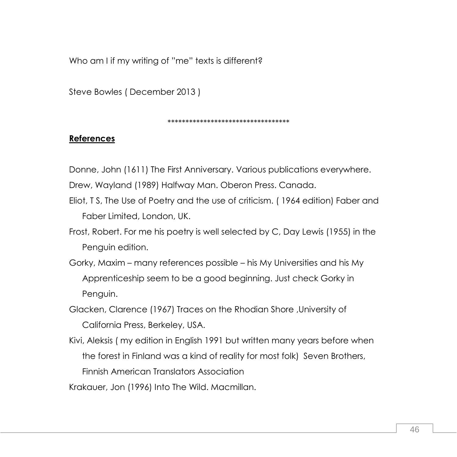Who am I if my writing of "me" texts is different?

Steve Bowles ( December 2013 )

\*\*\*\*\*\*\*\*\*\*\*\*\*\*\*\*\*\*\*\*\*\*\*\*\*\*\*\*\*\*\*\*\*\*

## **References**

Donne, John (1611) The First Anniversary. Various publications everywhere.

- Drew, Wayland (1989) Halfway Man. Oberon Press. Canada.
- Eliot, T S, The Use of Poetry and the use of criticism. ( 1964 edition) Faber and Faber Limited, London, UK.
- Frost, Robert. For me his poetry is well selected by C, Day Lewis (1955) in the Penguin edition.
- Gorky, Maxim many references possible his My Universities and his My Apprenticeship seem to be a good beginning. Just check Gorky in Penguin.
- Glacken, Clarence (1967) Traces on the Rhodian Shore ,University of California Press, Berkeley, USA.
- Kivi, Aleksis ( my edition in English 1991 but written many years before when the forest in Finland was a kind of reality for most folk) Seven Brothers, Finnish American Translators Association
- Krakauer, Jon (1996) Into The Wild. Macmillan.